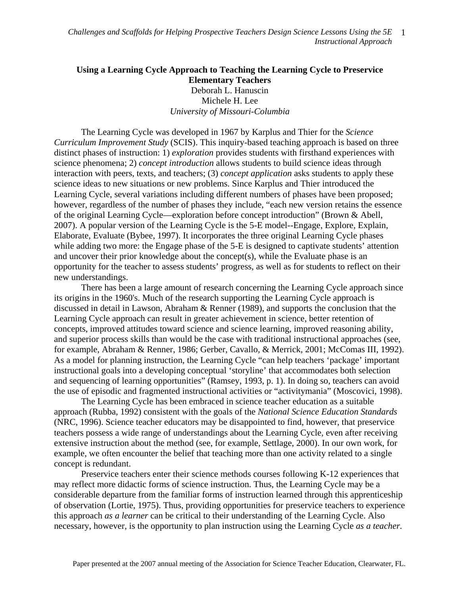# **Using a Learning Cycle Approach to Teaching the Learning Cycle to Preservice Elementary Teachers**  Deborah L. Hanuscin Michele H. Lee *University of Missouri-Columbia*

 The Learning Cycle was developed in 1967 by Karplus and Thier for the *Science Curriculum Improvement Study* (SCIS). This inquiry-based teaching approach is based on three distinct phases of instruction: 1) *exploration* provides students with firsthand experiences with science phenomena; 2) *concept introduction* allows students to build science ideas through interaction with peers, texts, and teachers; (3) *concept application* asks students to apply these science ideas to new situations or new problems. Since Karplus and Thier introduced the Learning Cycle, several variations including different numbers of phases have been proposed; however, regardless of the number of phases they include, "each new version retains the essence of the original Learning Cycle—exploration before concept introduction" (Brown & Abell, 2007). A popular version of the Learning Cycle is the 5-E model--Engage, Explore, Explain, Elaborate, Evaluate (Bybee, 1997). It incorporates the three original Learning Cycle phases while adding two more: the Engage phase of the 5-E is designed to captivate students' attention and uncover their prior knowledge about the concept(s), while the Evaluate phase is an opportunity for the teacher to assess students' progress, as well as for students to reflect on their new understandings.

 There has been a large amount of research concerning the Learning Cycle approach since its origins in the 1960's. Much of the research supporting the Learning Cycle approach is discussed in detail in Lawson, Abraham & Renner (1989), and supports the conclusion that the Learning Cycle approach can result in greater achievement in science, better retention of concepts, improved attitudes toward science and science learning, improved reasoning ability, and superior process skills than would be the case with traditional instructional approaches (see, for example, Abraham & Renner, 1986; Gerber, Cavallo, & Merrick, 2001; McComas III, 1992). As a model for planning instruction, the Learning Cycle "can help teachers 'package' important instructional goals into a developing conceptual 'storyline' that accommodates both selection and sequencing of learning opportunities" (Ramsey, 1993, p. 1). In doing so, teachers can avoid the use of episodic and fragmented instructional activities or "activitymania" (Moscovici, 1998).

 The Learning Cycle has been embraced in science teacher education as a suitable approach (Rubba, 1992) consistent with the goals of the *National Science Education Standards* (NRC, 1996). Science teacher educators may be disappointed to find, however, that preservice teachers possess a wide range of understandings about the Learning Cycle, even after receiving extensive instruction about the method (see, for example, Settlage, 2000). In our own work, for example, we often encounter the belief that teaching more than one activity related to a single concept is redundant.

 Preservice teachers enter their science methods courses following K-12 experiences that may reflect more didactic forms of science instruction. Thus, the Learning Cycle may be a considerable departure from the familiar forms of instruction learned through this apprenticeship of observation (Lortie, 1975). Thus, providing opportunities for preservice teachers to experience this approach *as a learner* can be critical to their understanding of the Learning Cycle. Also necessary, however, is the opportunity to plan instruction using the Learning Cycle *as a teacher.*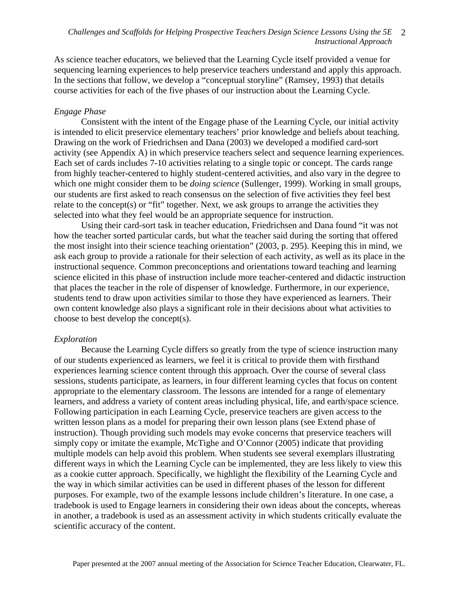As science teacher educators, we believed that the Learning Cycle itself provided a venue for sequencing learning experiences to help preservice teachers understand and apply this approach. In the sections that follow, we develop a "conceptual storyline" (Ramsey, 1993) that details course activities for each of the five phases of our instruction about the Learning Cycle.

# *Engage Phase*

 Consistent with the intent of the Engage phase of the Learning Cycle, our initial activity is intended to elicit preservice elementary teachers' prior knowledge and beliefs about teaching. Drawing on the work of Friedrichsen and Dana (2003) we developed a modified card-sort activity (see Appendix A) in which preservice teachers select and sequence learning experiences. Each set of cards includes 7-10 activities relating to a single topic or concept. The cards range from highly teacher-centered to highly student-centered activities, and also vary in the degree to which one might consider them to be *doing science* (Sullenger, 1999). Working in small groups, our students are first asked to reach consensus on the selection of five activities they feel best relate to the concept(s) or "fit" together. Next, we ask groups to arrange the activities they selected into what they feel would be an appropriate sequence for instruction.

 Using their card-sort task in teacher education, Friedrichsen and Dana found "it was not how the teacher sorted particular cards, but what the teacher said during the sorting that offered the most insight into their science teaching orientation" (2003, p. 295). Keeping this in mind, we ask each group to provide a rationale for their selection of each activity, as well as its place in the instructional sequence. Common preconceptions and orientations toward teaching and learning science elicited in this phase of instruction include more teacher-centered and didactic instruction that places the teacher in the role of dispenser of knowledge. Furthermore, in our experience, students tend to draw upon activities similar to those they have experienced as learners. Their own content knowledge also plays a significant role in their decisions about what activities to choose to best develop the concept(s).

## *Exploration*

 Because the Learning Cycle differs so greatly from the type of science instruction many of our students experienced as learners, we feel it is critical to provide them with firsthand experiences learning science content through this approach. Over the course of several class sessions, students participate, as learners, in four different learning cycles that focus on content appropriate to the elementary classroom. The lessons are intended for a range of elementary learners, and address a variety of content areas including physical, life, and earth/space science. Following participation in each Learning Cycle, preservice teachers are given access to the written lesson plans as a model for preparing their own lesson plans (see Extend phase of instruction). Though providing such models may evoke concerns that preservice teachers will simply copy or imitate the example, McTighe and O'Connor (2005) indicate that providing multiple models can help avoid this problem. When students see several exemplars illustrating different ways in which the Learning Cycle can be implemented, they are less likely to view this as a cookie cutter approach. Specifically, we highlight the flexibility of the Learning Cycle and the way in which similar activities can be used in different phases of the lesson for different purposes. For example, two of the example lessons include children's literature. In one case, a tradebook is used to Engage learners in considering their own ideas about the concepts, whereas in another, a tradebook is used as an assessment activity in which students critically evaluate the scientific accuracy of the content.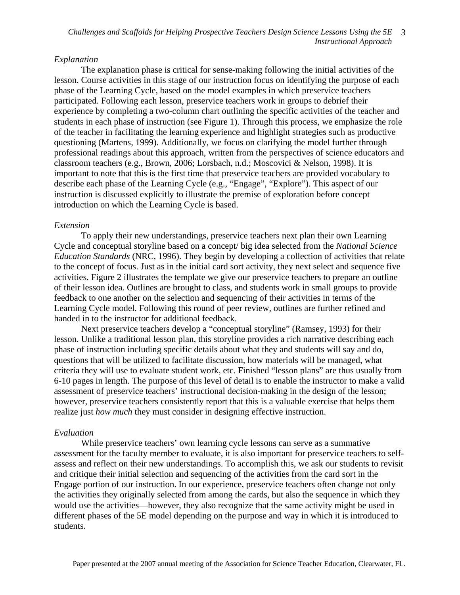## *Explanation*

 The explanation phase is critical for sense-making following the initial activities of the lesson. Course activities in this stage of our instruction focus on identifying the purpose of each phase of the Learning Cycle, based on the model examples in which preservice teachers participated. Following each lesson, preservice teachers work in groups to debrief their experience by completing a two-column chart outlining the specific activities of the teacher and students in each phase of instruction (see Figure 1). Through this process, we emphasize the role of the teacher in facilitating the learning experience and highlight strategies such as productive questioning (Martens, 1999). Additionally, we focus on clarifying the model further through professional readings about this approach, written from the perspectives of science educators and classroom teachers (e.g., Brown, 2006; Lorsbach, n.d.; Moscovici & Nelson, 1998). It is important to note that this is the first time that preservice teachers are provided vocabulary to describe each phase of the Learning Cycle (e.g., "Engage", "Explore"). This aspect of our instruction is discussed explicitly to illustrate the premise of exploration before concept introduction on which the Learning Cycle is based.

## *Extension*

 To apply their new understandings, preservice teachers next plan their own Learning Cycle and conceptual storyline based on a concept/ big idea selected from the *National Science Education Standards* (NRC, 1996). They begin by developing a collection of activities that relate to the concept of focus. Just as in the initial card sort activity, they next select and sequence five activities. Figure 2 illustrates the template we give our preservice teachers to prepare an outline of their lesson idea. Outlines are brought to class, and students work in small groups to provide feedback to one another on the selection and sequencing of their activities in terms of the Learning Cycle model. Following this round of peer review, outlines are further refined and handed in to the instructor for additional feedback.

 Next preservice teachers develop a "conceptual storyline" (Ramsey, 1993) for their lesson. Unlike a traditional lesson plan, this storyline provides a rich narrative describing each phase of instruction including specific details about what they and students will say and do, questions that will be utilized to facilitate discussion, how materials will be managed, what criteria they will use to evaluate student work, etc. Finished "lesson plans" are thus usually from 6-10 pages in length. The purpose of this level of detail is to enable the instructor to make a valid assessment of preservice teachers' instructional decision-making in the design of the lesson; however, preservice teachers consistently report that this is a valuable exercise that helps them realize just *how much* they must consider in designing effective instruction.

## *Evaluation*

 While preservice teachers' own learning cycle lessons can serve as a summative assessment for the faculty member to evaluate, it is also important for preservice teachers to selfassess and reflect on their new understandings. To accomplish this, we ask our students to revisit and critique their initial selection and sequencing of the activities from the card sort in the Engage portion of our instruction. In our experience, preservice teachers often change not only the activities they originally selected from among the cards, but also the sequence in which they would use the activities—however, they also recognize that the same activity might be used in different phases of the 5E model depending on the purpose and way in which it is introduced to students.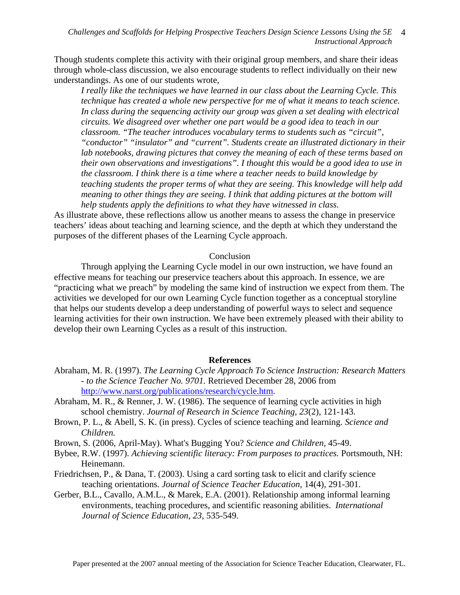Though students complete this activity with their original group members, and share their ideas through whole-class discussion, we also encourage students to reflect individually on their new understandings. As one of our students wrote,

*I really like the techniques we have learned in our class about the Learning Cycle. This technique has created a whole new perspective for me of what it means to teach science. In class during the sequencing activity our group was given a set dealing with electrical circuits. We disagreed over whether one part would be a good idea to teach in our classroom. "The teacher introduces vocabulary terms to students such as "circuit", "conductor" "insulator" and "current". Students create an illustrated dictionary in their lab notebooks, drawing pictures that convey the meaning of each of these terms based on their own observations and investigations". I thought this would be a good idea to use in the classroom. I think there is a time where a teacher needs to build knowledge by teaching students the proper terms of what they are seeing. This knowledge will help add meaning to other things they are seeing. I think that adding pictures at the bottom will help students apply the definitions to what they have witnessed in class.* 

As illustrate above, these reflections allow us another means to assess the change in preservice teachers' ideas about teaching and learning science, and the depth at which they understand the purposes of the different phases of the Learning Cycle approach.

## **Conclusion**

 Through applying the Learning Cycle model in our own instruction, we have found an effective means for teaching our preservice teachers about this approach. In essence, we are "practicing what we preach" by modeling the same kind of instruction we expect from them. The activities we developed for our own Learning Cycle function together as a conceptual storyline that helps our students develop a deep understanding of powerful ways to select and sequence learning activities for their own instruction. We have been extremely pleased with their ability to develop their own Learning Cycles as a result of this instruction.

## **References**

- Abraham, M. R. (1997). *The Learning Cycle Approach To Science Instruction: Research Matters - to the Science Teacher No. 9701.* Retrieved December 28, 2006 from http://www.narst.org/publications/research/cycle.htm.
- Abraham, M. R., & Renner, J. W. (1986). The sequence of learning cycle activities in high school chemistry. *Journal of Research in Science Teaching, 23*(2), 121-143.
- Brown, P. L., & Abell, S. K. (in press). Cycles of science teaching and learning. *Science and Children.*
- Brown, S. (2006, April-May). What's Bugging You? *Science and Children,* 45-49.
- Bybee, R.W. (1997). *Achieving scientific literacy: From purposes to practices.* Portsmouth, NH: Heinemann.
- Friedrichsen, P., & Dana, T. (2003). Using a card sorting task to elicit and clarify science teaching orientations. *Journal of Science Teacher Education*, 14(4), 291-301.
- Gerber, B.L., Cavallo, A.M.L., & Marek, E.A. (2001). Relationship among informal learning environments, teaching procedures, and scientific reasoning abilities. *International Journal of Science Education*, *23*, 535-549.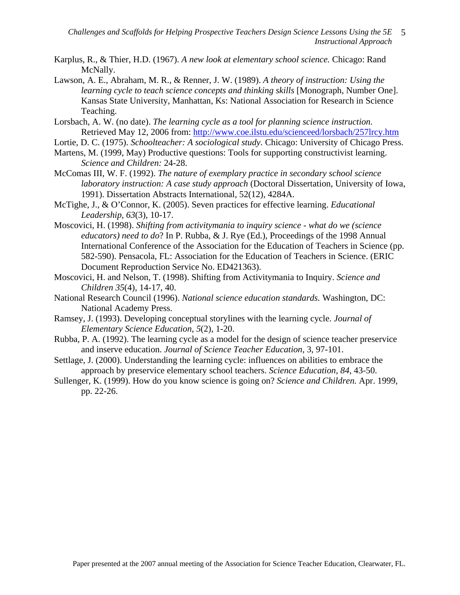- Karplus, R., & Thier, H.D. (1967). *A new look at elementary school science.* Chicago: Rand McNally.
- Lawson, A. E., Abraham, M. R., & Renner, J. W. (1989). *A theory of instruction: Using the learning cycle to teach science concepts and thinking skills* [Monograph, Number One]. Kansas State University, Manhattan, Ks: National Association for Research in Science Teaching.
- Lorsbach, A. W. (no date). *The learning cycle as a tool for planning science instruction.*  Retrieved May 12, 2006 from: http://www.coe.ilstu.edu/scienceed/lorsbach/257lrcy.htm
- Lortie, D. C. (1975). *Schoolteacher: A sociological study.* Chicago: University of Chicago Press.
- Martens, M. (1999, May) Productive questions: Tools for supporting constructivist learning. *Science and Children:* 24-28.
- McComas III, W. F. (1992). *The nature of exemplary practice in secondary school science laboratory instruction: A case study approach* (Doctoral Dissertation, University of Iowa, 1991). Dissertation Abstracts International, 52(12), 4284A.
- McTighe, J., & O'Connor, K. (2005). Seven practices for effective learning. *Educational Leadership, 63*(3), 10-17.
- Moscovici, H. (1998). *Shifting from activitymania to inquiry science what do we (science educators) need to do*? In P. Rubba, & J. Rye (Ed.), Proceedings of the 1998 Annual International Conference of the Association for the Education of Teachers in Science (pp. 582-590). Pensacola, FL: Association for the Education of Teachers in Science. (ERIC Document Reproduction Service No. ED421363).
- Moscovici, H. and Nelson, T. (1998). Shifting from Activitymania to Inquiry. *Science and Children 35*(4), 14-17, 40.
- National Research Council (1996). *National science education standards.* Washington, DC: National Academy Press.
- Ramsey, J. (1993). Developing conceptual storylines with the learning cycle. *Journal of Elementary Science Education, 5*(2), 1-20.
- Rubba, P. A. (1992). The learning cycle as a model for the design of science teacher preservice and inserve education. *Journal of Science Teacher Education,* 3, 97-101.
- Settlage, J. (2000). Understanding the learning cycle: influences on abilities to embrace the approach by preservice elementary school teachers. *Science Education, 84*, 43-50.
- Sullenger, K. (1999). How do you know science is going on? *Science and Children.* Apr. 1999, pp. 22-26.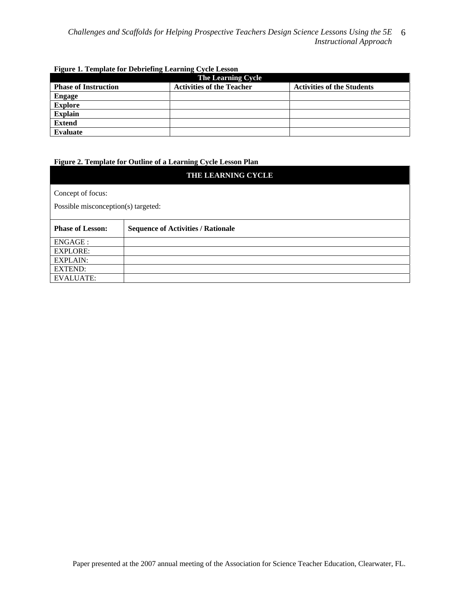*Challenges and Scaffolds for Helping Prospective Teachers Design Science Lessons Using the 5E*  6 *Instructional Approach* 

|  |  | <b>Figure 1. Template for Debriefing Learning Cycle Lesson</b> |
|--|--|----------------------------------------------------------------|
|  |  |                                                                |

| -                           | - | $\sim$<br><b>The Learning Cycle</b> |                                   |  |
|-----------------------------|---|-------------------------------------|-----------------------------------|--|
| <b>Phase of Instruction</b> |   | <b>Activities of the Teacher</b>    | <b>Activities of the Students</b> |  |
| <b>Engage</b>               |   |                                     |                                   |  |
| <b>Explore</b>              |   |                                     |                                   |  |
| <b>Explain</b>              |   |                                     |                                   |  |
| <b>Extend</b>               |   |                                     |                                   |  |
| <b>Evaluate</b>             |   |                                     |                                   |  |

# **Figure 2. Template for Outline of a Learning Cycle Lesson Plan**

| <b>THE LEARNING CYCLE</b>           |                                           |  |  |  |
|-------------------------------------|-------------------------------------------|--|--|--|
| Concept of focus:                   |                                           |  |  |  |
| Possible misconception(s) targeted: |                                           |  |  |  |
| <b>Phase of Lesson:</b>             | <b>Sequence of Activities / Rationale</b> |  |  |  |
| ENGAGE :                            |                                           |  |  |  |
| <b>EXPLORE:</b>                     |                                           |  |  |  |
| <b>EXPLAIN:</b>                     |                                           |  |  |  |
| <b>EXTEND:</b>                      |                                           |  |  |  |
| <b>EVALUATE:</b>                    |                                           |  |  |  |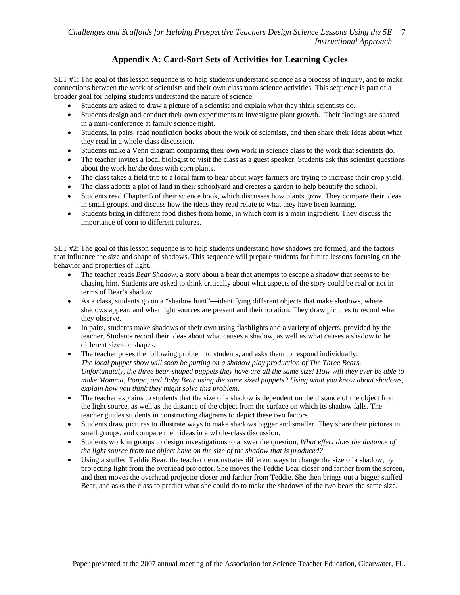# **Appendix A: Card-Sort Sets of Activities for Learning Cycles**

SET #1: The goal of this lesson sequence is to help students understand science as a process of inquiry, and to make connections between the work of scientists and their own classroom science activities. This sequence is part of a broader goal for helping students understand the nature of science.

- Students are asked to draw a picture of a scientist and explain what they think scientists do.
- Students design and conduct their own experiments to investigate plant growth. Their findings are shared in a mini-conference at family science night.
- Students, in pairs, read nonfiction books about the work of scientists, and then share their ideas about what they read in a whole-class discussion.
- Students make a Venn diagram comparing their own work in science class to the work that scientists do.
- The teacher invites a local biologist to visit the class as a guest speaker. Students ask this scientist questions about the work he/she does with corn plants.
- The class takes a field trip to a local farm to hear about ways farmers are trying to increase their crop yield.
- The class adopts a plot of land in their schoolyard and creates a garden to help beautify the school.
- Students read Chapter 5 of their science book, which discusses how plants grow. They compare their ideas in small groups, and discuss how the ideas they read relate to what they have been learning.
- Students bring in different food dishes from home, in which corn is a main ingredient. They discuss the importance of corn to different cultures.

SET #2: The goal of this lesson sequence is to help students understand how shadows are formed, and the factors that influence the size and shape of shadows. This sequence will prepare students for future lessons focusing on the behavior and properties of light.

- The teacher reads *Bear Shadow*, a story about a bear that attempts to escape a shadow that seems to be chasing him. Students are asked to think critically about what aspects of the story could be real or not in terms of Bear's shadow.
- As a class, students go on a "shadow hunt"—identifying different objects that make shadows, where shadows appear, and what light sources are present and their location. They draw pictures to record what they observe.
- In pairs, students make shadows of their own using flashlights and a variety of objects, provided by the teacher. Students record their ideas about what causes a shadow, as well as what causes a shadow to be different sizes or shapes.
- The teacher poses the following problem to students, and asks them to respond individually: *The local puppet show will soon be putting on a shadow play production of The Three Bears. Unfortunately, the three bear-shaped puppets they have are all the same size! How will they ever be able to make Momma, Poppa, and Baby Bear using the same sized puppets? Using what you know about shadows, explain how you think they might solve this problem.*
- The teacher explains to students that the size of a shadow is dependent on the distance of the object from the light source, as well as the distance of the object from the surface on which its shadow falls. The teacher guides students in constructing diagrams to depict these two factors.
- Students draw pictures to illustrate ways to make shadows bigger and smaller. They share their pictures in small groups, and compare their ideas in a whole-class discussion.
- Students work in groups to design investigations to answer the question, *What effect does the distance of the light source from the object have on the size of the shadow that is produced?*
- Using a stuffed Teddie Bear, the teacher demonstrates different ways to change the size of a shadow, by projecting light from the overhead projector. She moves the Teddie Bear closer and farther from the screen, and then moves the overhead projector closer and farther from Teddie. She then brings out a bigger stuffed Bear, and asks the class to predict what she could do to make the shadows of the two bears the same size.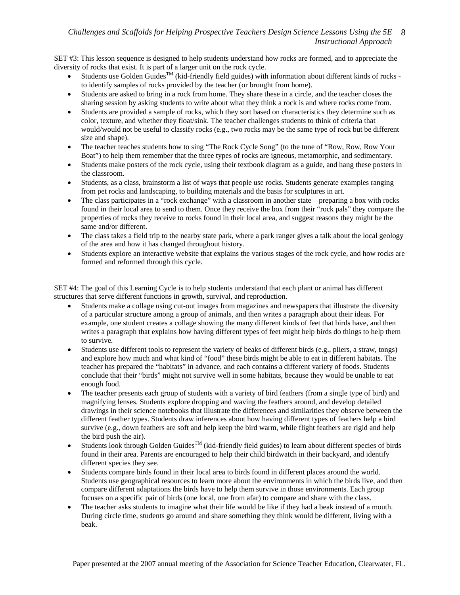SET #3: This lesson sequence is designed to help students understand how rocks are formed, and to appreciate the diversity of rocks that exist. It is part of a larger unit on the rock cycle.

- Students use Golden Guides<sup>TM</sup> (kid-friendly field guides) with information about different kinds of rocks to identify samples of rocks provided by the teacher (or brought from home).
- Students are asked to bring in a rock from home. They share these in a circle, and the teacher closes the sharing session by asking students to write about what they think a rock is and where rocks come from.
- Students are provided a sample of rocks, which they sort based on characteristics they determine such as color, texture, and whether they float/sink. The teacher challenges students to think of criteria that would/would not be useful to classify rocks (e.g., two rocks may be the same type of rock but be different size and shape).
- The teacher teaches students how to sing "The Rock Cycle Song" (to the tune of "Row, Row, Row Your Boat") to help them remember that the three types of rocks are igneous, metamorphic, and sedimentary.
- Students make posters of the rock cycle, using their textbook diagram as a guide, and hang these posters in the classroom.
- Students, as a class, brainstorm a list of ways that people use rocks. Students generate examples ranging from pet rocks and landscaping, to building materials and the basis for sculptures in art.
- The class participates in a "rock exchange" with a classroom in another state—preparing a box with rocks found in their local area to send to them. Once they receive the box from their "rock pals" they compare the properties of rocks they receive to rocks found in their local area, and suggest reasons they might be the same and/or different.
- The class takes a field trip to the nearby state park, where a park ranger gives a talk about the local geology of the area and how it has changed throughout history.
- Students explore an interactive website that explains the various stages of the rock cycle, and how rocks are formed and reformed through this cycle.

SET #4: The goal of this Learning Cycle is to help students understand that each plant or animal has different structures that serve different functions in growth, survival, and reproduction.

- Students make a collage using cut-out images from magazines and newspapers that illustrate the diversity of a particular structure among a group of animals, and then writes a paragraph about their ideas. For example, one student creates a collage showing the many different kinds of feet that birds have, and then writes a paragraph that explains how having different types of feet might help birds do things to help them to survive.
- Students use different tools to represent the variety of beaks of different birds (e.g., pliers, a straw, tongs) and explore how much and what kind of "food" these birds might be able to eat in different habitats. The teacher has prepared the "habitats" in advance, and each contains a different variety of foods. Students conclude that their "birds" might not survive well in some habitats, because they would be unable to eat enough food.
- The teacher presents each group of students with a variety of bird feathers (from a single type of bird) and magnifying lenses. Students explore dropping and waving the feathers around, and develop detailed drawings in their science notebooks that illustrate the differences and similarities they observe between the different feather types. Students draw inferences about how having different types of feathers help a bird survive (e.g., down feathers are soft and help keep the bird warm, while flight feathers are rigid and help the bird push the air).
- Students look through Golden Guides<sup>TM</sup> (kid-friendly field guides) to learn about different species of birds found in their area. Parents are encouraged to help their child birdwatch in their backyard, and identify different species they see.
- Students compare birds found in their local area to birds found in different places around the world. Students use geographical resources to learn more about the environments in which the birds live, and then compare different adaptations the birds have to help them survive in those environments. Each group focuses on a specific pair of birds (one local, one from afar) to compare and share with the class.
- The teacher asks students to imagine what their life would be like if they had a beak instead of a mouth. During circle time, students go around and share something they think would be different, living with a beak.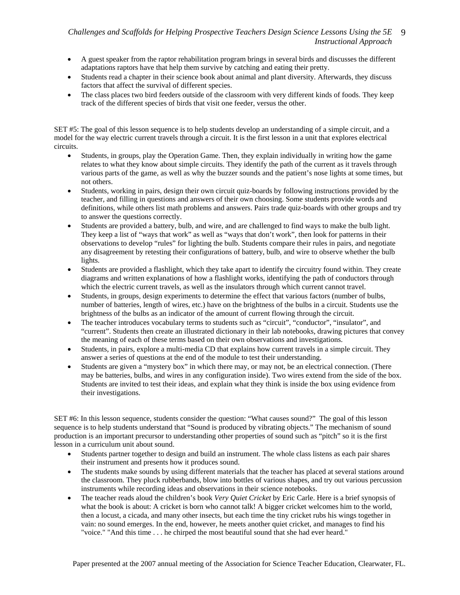- A guest speaker from the raptor rehabilitation program brings in several birds and discusses the different adaptations raptors have that help them survive by catching and eating their pretty.
- Students read a chapter in their science book about animal and plant diversity. Afterwards, they discuss factors that affect the survival of different species.
- The class places two bird feeders outside of the classroom with very different kinds of foods. They keep track of the different species of birds that visit one feeder, versus the other.

SET #5: The goal of this lesson sequence is to help students develop an understanding of a simple circuit, and a model for the way electric current travels through a circuit. It is the first lesson in a unit that explores electrical circuits.

- Students, in groups, play the Operation Game. Then, they explain individually in writing how the game relates to what they know about simple circuits. They identify the path of the current as it travels through various parts of the game, as well as why the buzzer sounds and the patient's nose lights at some times, but not others.
- Students, working in pairs, design their own circuit quiz-boards by following instructions provided by the teacher, and filling in questions and answers of their own choosing. Some students provide words and definitions, while others list math problems and answers. Pairs trade quiz-boards with other groups and try to answer the questions correctly.
- Students are provided a battery, bulb, and wire, and are challenged to find ways to make the bulb light. They keep a list of "ways that work" as well as "ways that don't work", then look for patterns in their observations to develop "rules" for lighting the bulb. Students compare their rules in pairs, and negotiate any disagreement by retesting their configurations of battery, bulb, and wire to observe whether the bulb lights.
- Students are provided a flashlight, which they take apart to identify the circuitry found within. They create diagrams and written explanations of how a flashlight works, identifying the path of conductors through which the electric current travels, as well as the insulators through which current cannot travel.
- Students, in groups, design experiments to determine the effect that various factors (number of bulbs, number of batteries, length of wires, etc.) have on the brightness of the bulbs in a circuit. Students use the brightness of the bulbs as an indicator of the amount of current flowing through the circuit.
- The teacher introduces vocabulary terms to students such as "circuit", "conductor", "insulator", and "current". Students then create an illustrated dictionary in their lab notebooks, drawing pictures that convey the meaning of each of these terms based on their own observations and investigations.
- Students, in pairs, explore a multi-media CD that explains how current travels in a simple circuit. They answer a series of questions at the end of the module to test their understanding.
- Students are given a "mystery box" in which there may, or may not, be an electrical connection. (There may be batteries, bulbs, and wires in any configuration inside). Two wires extend from the side of the box. Students are invited to test their ideas, and explain what they think is inside the box using evidence from their investigations.

SET #6: In this lesson sequence, students consider the question: "What causes sound?" The goal of this lesson sequence is to help students understand that "Sound is produced by vibrating objects." The mechanism of sound production is an important precursor to understanding other properties of sound such as "pitch" so it is the first lesson in a curriculum unit about sound.

- Students partner together to design and build an instrument. The whole class listens as each pair shares their instrument and presents how it produces sound.
- The students make sounds by using different materials that the teacher has placed at several stations around the classroom. They pluck rubberbands, blow into bottles of various shapes, and try out various percussion instruments while recording ideas and observations in their science notebooks.
- The teacher reads aloud the children's book *Very Quiet Cricket* by Eric Carle. Here is a brief synopsis of what the book is about: A cricket is born who cannot talk! A bigger cricket welcomes him to the world, then a locust, a cicada, and many other insects, but each time the tiny cricket rubs his wings together in vain: no sound emerges. In the end, however, he meets another quiet cricket, and manages to find his "voice." "And this time . . . he chirped the most beautiful sound that she had ever heard."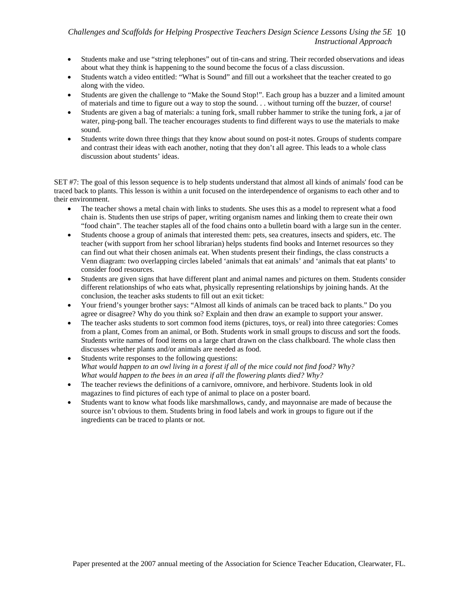## *Challenges and Scaffolds for Helping Prospective Teachers Design Science Lessons Using the 5E*  10 *Instructional Approach*

- Students make and use "string telephones" out of tin-cans and string. Their recorded observations and ideas about what they think is happening to the sound become the focus of a class discussion.
- Students watch a video entitled: "What is Sound" and fill out a worksheet that the teacher created to go along with the video.
- Students are given the challenge to "Make the Sound Stop!". Each group has a buzzer and a limited amount of materials and time to figure out a way to stop the sound. . . without turning off the buzzer, of course!
- Students are given a bag of materials: a tuning fork, small rubber hammer to strike the tuning fork, a jar of water, ping-pong ball. The teacher encourages students to find different ways to use the materials to make sound.
- Students write down three things that they know about sound on post-it notes. Groups of students compare and contrast their ideas with each another, noting that they don't all agree. This leads to a whole class discussion about students' ideas.

SET #7: The goal of this lesson sequence is to help students understand that almost all kinds of animals' food can be traced back to plants. This lesson is within a unit focused on the interdependence of organisms to each other and to their environment.

- The teacher shows a metal chain with links to students. She uses this as a model to represent what a food chain is. Students then use strips of paper, writing organism names and linking them to create their own "food chain". The teacher staples all of the food chains onto a bulletin board with a large sun in the center.
- Students choose a group of animals that interested them: pets, sea creatures, insects and spiders, etc. The teacher (with support from her school librarian) helps students find books and Internet resources so they can find out what their chosen animals eat. When students present their findings, the class constructs a Venn diagram: two overlapping circles labeled 'animals that eat animals' and 'animals that eat plants' to consider food resources.
- Students are given signs that have different plant and animal names and pictures on them. Students consider different relationships of who eats what, physically representing relationships by joining hands. At the conclusion, the teacher asks students to fill out an exit ticket:
- Your friend's younger brother says: "Almost all kinds of animals can be traced back to plants." Do you agree or disagree? Why do you think so? Explain and then draw an example to support your answer.
- The teacher asks students to sort common food items (pictures, toys, or real) into three categories: Comes from a plant, Comes from an animal, or Both. Students work in small groups to discuss and sort the foods. Students write names of food items on a large chart drawn on the class chalkboard. The whole class then discusses whether plants and/or animals are needed as food.
- Students write responses to the following questions: *What would happen to an owl living in a forest if all of the mice could not find food? Why? What would happen to the bees in an area if all the flowering plants died? Why?*
- The teacher reviews the definitions of a carnivore, omnivore, and herbivore. Students look in old magazines to find pictures of each type of animal to place on a poster board.
- Students want to know what foods like marshmallows, candy, and mayonnaise are made of because the source isn't obvious to them. Students bring in food labels and work in groups to figure out if the ingredients can be traced to plants or not.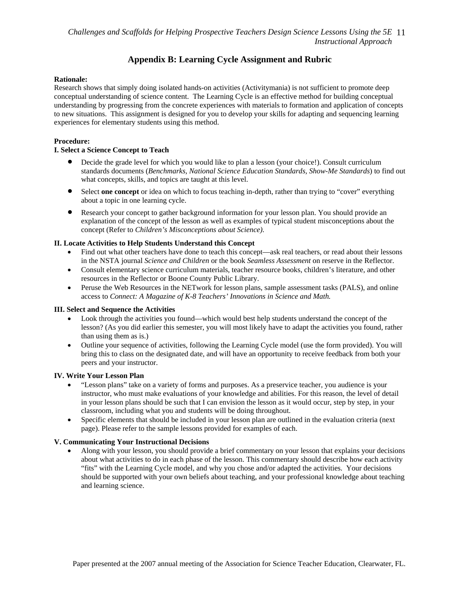# **Appendix B: Learning Cycle Assignment and Rubric**

### **Rationale:**

Research shows that simply doing isolated hands-on activities (Activitymania) is not sufficient to promote deep conceptual understanding of science content. The Learning Cycle is an effective method for building conceptual understanding by progressing from the concrete experiences with materials to formation and application of concepts to new situations. This assignment is designed for you to develop your skills for adapting and sequencing learning experiences for elementary students using this method.

### **Procedure:**

### **I. Select a Science Concept to Teach**

- Decide the grade level for which you would like to plan a lesson (your choice!). Consult curriculum standards documents (*Benchmarks, National Science Education Standards, Show-Me Standards*) to find out what concepts, skills, and topics are taught at this level.
- Select **one concept** or idea on which to focus teaching in-depth, rather than trying to "cover" everything about a topic in one learning cycle.
- Research your concept to gather background information for your lesson plan. You should provide an explanation of the concept of the lesson as well as examples of typical student misconceptions about the concept (Refer to *Children's Misconceptions about Science)*.

### **II. Locate Activities to Help Students Understand this Concept**

- Find out what other teachers have done to teach this concept—ask real teachers, or read about their lessons in the NSTA journal *Science and Children* or the book *Seamless Assessment* on reserve in the Reflector.
- Consult elementary science curriculum materials, teacher resource books, children's literature, and other resources in the Reflector or Boone County Public Library.
- Peruse the Web Resources in the NETwork for lesson plans, sample assessment tasks (PALS), and online access to *Connect: A Magazine of K-8 Teachers' Innovations in Science and Math.*

### **III. Select and Sequence the Activities**

- Look through the activities you found—which would best help students understand the concept of the lesson? (As you did earlier this semester, you will most likely have to adapt the activities you found, rather than using them as is.)
- Outline your sequence of activities, following the Learning Cycle model (use the form provided). You will bring this to class on the designated date, and will have an opportunity to receive feedback from both your peers and your instructor.

### **IV. Write Your Lesson Plan**

- "Lesson plans" take on a variety of forms and purposes. As a preservice teacher, you audience is your instructor, who must make evaluations of your knowledge and abilities. For this reason, the level of detail in your lesson plans should be such that I can envision the lesson as it would occur, step by step, in your classroom, including what you and students will be doing throughout.
- Specific elements that should be included in your lesson plan are outlined in the evaluation criteria (next page). Please refer to the sample lessons provided for examples of each.

### **V. Communicating Your Instructional Decisions**

• Along with your lesson, you should provide a brief commentary on your lesson that explains your decisions about what activities to do in each phase of the lesson. This commentary should describe how each activity "fits" with the Learning Cycle model, and why you chose and/or adapted the activities. Your decisions should be supported with your own beliefs about teaching, and your professional knowledge about teaching and learning science.